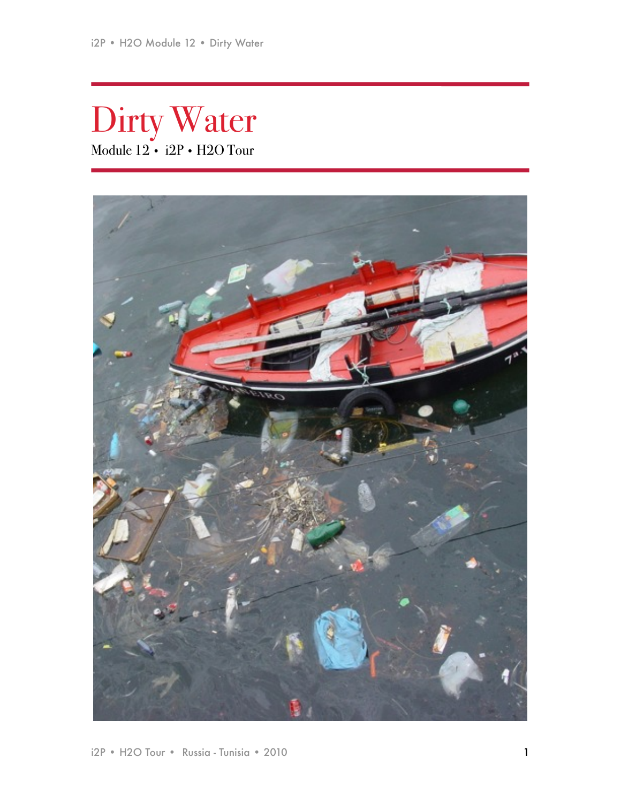Dirty Water Module 12 • i2P • H2O Tour

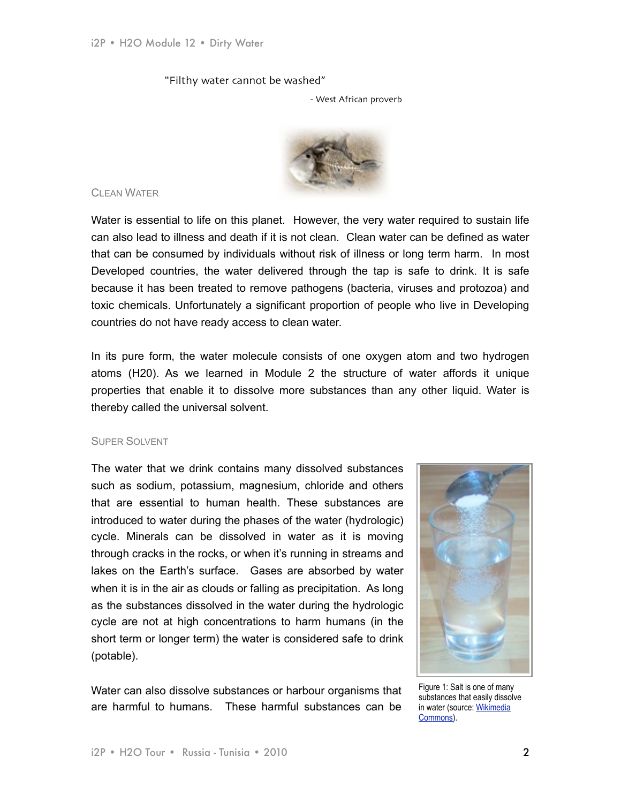## "Filthy water cannot be washed"

- West African proverb



# CLEAN WATER

Water is essential to life on this planet. However, the very water required to sustain life can also lead to illness and death if it is not clean. Clean water can be defined as water that can be consumed by individuals without risk of illness or long term harm. In most Developed countries, the water delivered through the tap is safe to drink. It is safe because it has been treated to remove pathogens (bacteria, viruses and protozoa) and toxic chemicals. Unfortunately a significant proportion of people who live in Developing countries do not have ready access to clean water.

In its pure form, the water molecule consists of one oxygen atom and two hydrogen atoms (H20). As we learned in Module 2 the structure of water affords it unique properties that enable it to dissolve more substances than any other liquid. Water is thereby called the universal solvent.

## SUPER SOLVENT

The water that we drink contains many dissolved substances such as sodium, potassium, magnesium, chloride and others that are essential to human health. These substances are introduced to water during the phases of the water (hydrologic) cycle. Minerals can be dissolved in water as it is moving through cracks in the rocks, or when it's running in streams and lakes on the Earth's surface. Gases are absorbed by water when it is in the air as clouds or falling as precipitation. As long as the substances dissolved in the water during the hydrologic cycle are not at high concentrations to harm humans (in the short term or longer term) the water is considered safe to drink (potable).

Water can also dissolve substances or harbour organisms that are harmful to humans. These harmful substances can be



Figure 1: Salt is one of many substances that easily dissolve in water (source: Wikimedia [Commons\)](http://commons.wikimedia.org/wiki/File:SaltInWaterSolutionLiquid.jpg).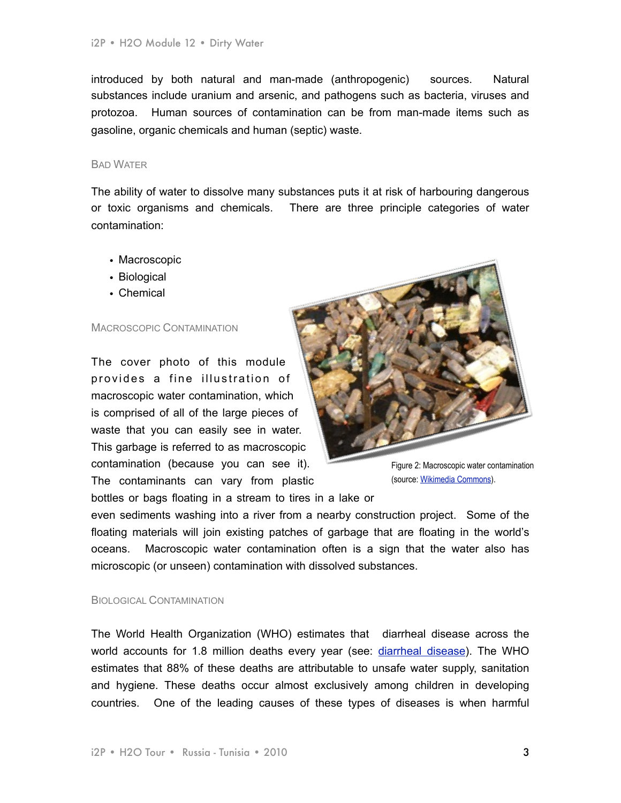introduced by both natural and man-made (anthropogenic) sources. Natural substances include uranium and arsenic, and pathogens such as bacteria, viruses and protozoa. Human sources of contamination can be from man-made items such as gasoline, organic chemicals and human (septic) waste.

#### BAD WATER

The ability of water to dissolve many substances puts it at risk of harbouring dangerous or toxic organisms and chemicals. There are three principle categories of water contamination:

- Macroscopic
- Biological
- Chemical

#### MACROSCOPIC CONTAMINATION

The cover photo of this module provides a fine illustration of macroscopic water contamination, which is comprised of all of the large pieces of waste that you can easily see in water. This garbage is referred to as macroscopic contamination (because you can see it). The contaminants can vary from plastic



Figure 2: Macroscopic water contamination (source: [Wikimedia Commons\)](http://commons.wikimedia.org/wiki/File:WaterPollutionDeule2006_02_24_2.jpg).

bottles or bags floating in a stream to tires in a lake or

even sediments washing into a river from a nearby construction project. Some of the floating materials will join existing patches of garbage that are floating in the world's oceans. Macroscopic water contamination often is a sign that the water also has microscopic (or unseen) contamination with dissolved substances.

#### BIOLOGICAL CONTAMINATION

The World Health Organization (WHO) estimates that diarrheal disease across the world accounts for 1.8 million deaths every year (see: [diarrheal disease](http://www.who.int/water_sanitation_health/diseases/burden/en/index.html)). The WHO estimates that 88% of these deaths are attributable to unsafe water supply, sanitation and hygiene. These deaths occur almost exclusively among children in developing countries. One of the leading causes of these types of diseases is when harmful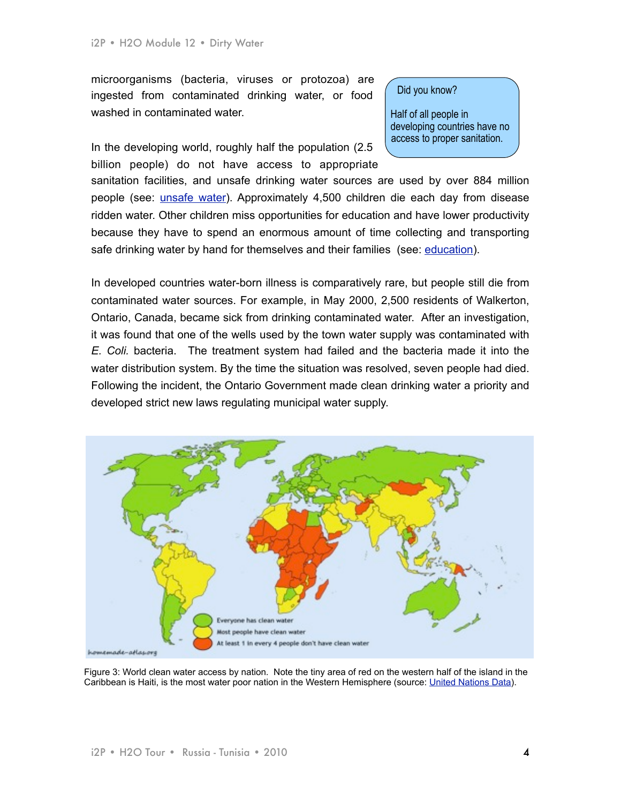microorganisms (bacteria, viruses or protozoa) are ingested from contaminated drinking water, or food washed in contaminated water.

In the developing world, roughly half the population (2.5 billion people) do not have access to appropriate Did you know?

Half of all people in developing countries have no access to proper sanitation.

sanitation facilities, and unsafe drinking water sources are used by over 884 million people (see: [unsafe water\)](http://www.unicef.org/wash/index_3951.html). Approximately 4,500 children die each day from disease ridden water. Other children miss opportunities for education and have lower productivity because they have to spend an enormous amount of time collecting and transporting safe drinking water by hand for themselves and their families (see: [education\)](http://www.unicef.org/wash/index_31600.html).

In developed countries water-born illness is comparatively rare, but people still die from contaminated water sources. For example, in May 2000, 2,500 residents of Walkerton, Ontario, Canada, became sick from drinking contaminated water. After an investigation, it was found that one of the wells used by the town water supply was contaminated with *E. Coli.* bacteria. The treatment system had failed and the bacteria made it into the water distribution system. By the time the situation was resolved, seven people had died. Following the incident, the Ontario Government made clean drinking water a priority and developed strict new laws regulating municipal water supply.



Figure 3: World clean water access by nation. Note the tiny area of red on the western half of the island in the Caribbean is Haiti, is the most water poor nation in the Western Hemisphere (source: [United Nations Data\)](http://commons.wikimedia.org/wiki/File:Water_quality.jpg).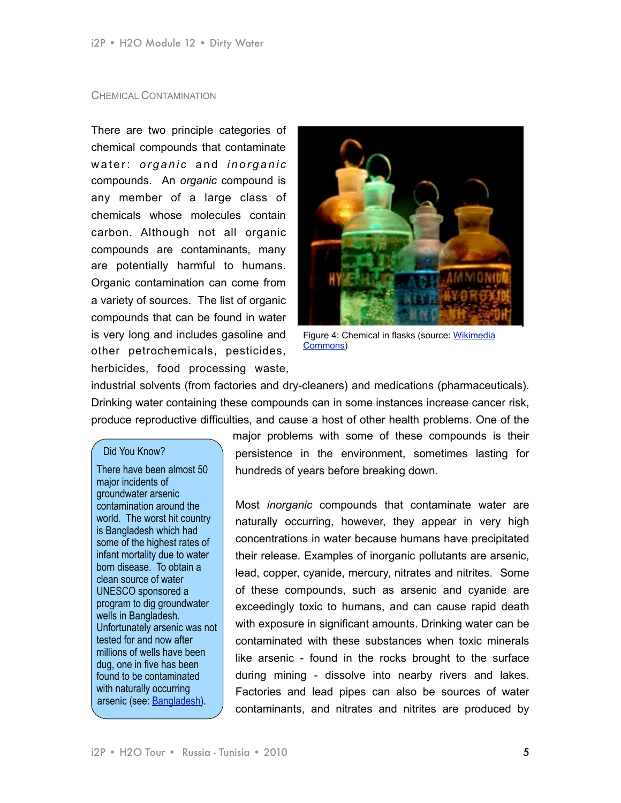### CHEMICAL CONTAMINATION

There are two principle categories of chemical compounds that contaminate water: *organic* and *inorganic* compounds. An *organic* compound is any member of a large class of chemicals whose [molecules](http://en.wikipedia.org/wiki/Molecules) contain [carbon](http://en.wikipedia.org/wiki/Carbon). Although not all organic compounds are contaminants, many are potentially harmful to humans. Organic contamination can come from a variety of sources. The list of organic compounds that can be found in water is very long and includes gasoline and other petrochemicals, pesticides, herbicides, food processing waste,



Figure 4: Chemical in flasks (source: [Wikimedia](http://commons.wikimedia.org/wiki/File:Chemicals_in_flasks.jpg)  [Commons\)](http://commons.wikimedia.org/wiki/File:Chemicals_in_flasks.jpg)

industrial solvents (from factories and dry-cleaners) and medications (pharmaceuticals). Drinking water containing these compounds can in some instances increase cancer risk, produce reproductive difficulties, and cause a host of other health problems. One of the

### Did You Know?

There have been almost 50 major incidents of groundwater arsenic contamination around the world. The worst hit country is Bangladesh which had some of the highest rates of infant mortality due to water born disease. To obtain a clean source of water UNESCO sponsored a program to dig groundwater wells in Bangladesh. Unfortunately arsenic was not tested for and now after millions of wells have been dug, one in five has been found to be contaminated with naturally occurring arsenic (see: [Bangladesh\)](http://www.macmillanscience.com/1403944997.asp).

major problems with some of these compounds is their persistence in the environment, sometimes lasting for hundreds of years before breaking down.

Most *inorganic* compounds that contaminate water are naturally occurring, however, they appear in very high concentrations in water because humans have precipitated their release. Examples of inorganic pollutants are arsenic, lead, copper, cyanide, mercury, nitrates and nitrites. Some of these compounds, such as arsenic and cyanide are exceedingly toxic to humans, and can cause rapid death with exposure in significant amounts. Drinking water can be contaminated with these substances when toxic minerals like arsenic - found in the rocks brought to the surface during mining - dissolve into nearby rivers and lakes. Factories and lead pipes can also be sources of water contaminants, and nitrates and nitrites are produced by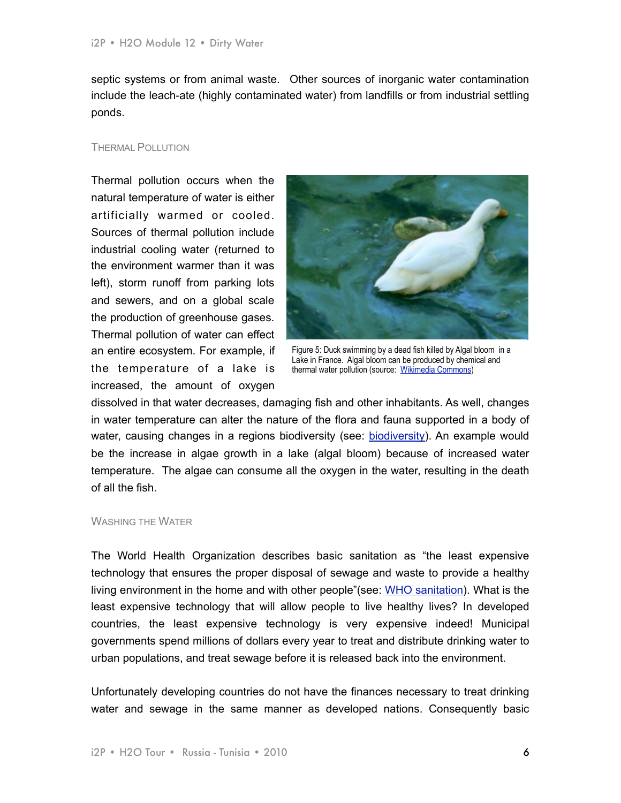septic systems or from animal waste. Other sources of inorganic water contamination include the leach-ate (highly contaminated water) from landfills or from industrial settling ponds.

## THERMAL POLLUTION

Thermal pollution occurs when the natural temperature of water is either artificially warmed or cooled. Sources of thermal pollution include industrial cooling water (returned to the environment warmer than it was left), storm runoff from parking lots and sewers, and on a global scale the production of greenhouse gases. Thermal pollution of water can effect an entire ecosystem. For example, if the temperature of a lake is increased, the amount of oxygen



Figure 5: Duck swimming by a dead fish killed by Algal bloom in a Lake in France. Algal bloom can be produced by chemical and thermal water pollution (source: [Wikimedia Commons\)](http://commons.wikimedia.org/wiki/File:P1150962.JPG)

dissolved in that water decreases, damaging fish and other inhabitants. As well, changes in water temperature can alter the nature of the flora and fauna supported in a body of water, causing changes in a regions [biodiversity](http://en.wikipedia.org/wiki/Thermal_pollution) (see: biodiversity). An example would be the increase in algae growth in a lake (algal bloom) because of increased water temperature. The algae can consume all the oxygen in the water, resulting in the death of all the fish.

## WASHING THE WATER

The World Health Organization describes basic sanitation as "the least expensive technology that ensures the proper disposal of sewage and waste to provide a healthy living environment in the home and with other people"(see: [WHO sanitation\)](http://www.who.int/water_sanitation_health/mdg1/en/index.html). What is the least expensive technology that will allow people to live healthy lives? In developed countries, the least expensive technology is very expensive indeed! Municipal governments spend millions of dollars every year to treat and distribute drinking water to urban populations, and treat sewage before it is released back into the environment.

Unfortunately developing countries do not have the finances necessary to treat drinking water and sewage in the same manner as developed nations. Consequently basic